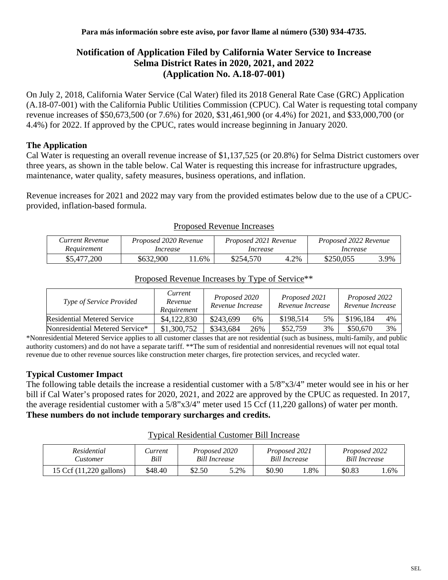# **Notification of Application Filed by California Water Service to Increase Selma District Rates in 2020, 2021, and 2022 (Application No. A.18-07-001)**

On July 2, 2018, California Water Service (Cal Water) filed its 2018 General Rate Case (GRC) Application (A.18-07-001) with the California Public Utilities Commission (CPUC). Cal Water is requesting total company revenue increases of \$50,673,500 (or 7.6%) for 2020, \$31,461,900 (or 4.4%) for 2021, and \$33,000,700 (or 4.4%) for 2022. If approved by the CPUC, rates would increase beginning in January 2020.

## **The Application**

Cal Water is requesting an overall revenue increase of \$1,137,525 (or 20.8%) for Selma District customers over three years, as shown in the table below. Cal Water is requesting this increase for infrastructure upgrades, maintenance, water quality, safety measures, business operations, and inflation.

Revenue increases for 2021 and 2022 may vary from the provided estimates below due to the use of a CPUCprovided, inflation-based formula.

| Current Revenue | Proposed 2020 Revenue |      | Proposed 2021 Revenue |      | Proposed 2022 Revenue |      |  |
|-----------------|-----------------------|------|-----------------------|------|-----------------------|------|--|
| Reauirement     | Increase              |      | Increase              |      | Increase              |      |  |
| \$5,477,200     | \$632,900             | . 6% | \$254,570             | 4.2% | \$250,055             | 3.9% |  |

#### Proposed Revenue Increases

| <i>Type of Service Provided</i>    | Current<br>Revenue<br>Requirement | Proposed 2020<br>Revenue Increase |     | Proposed 2021<br>Revenue Increase |    | Proposed 2022<br>Revenue Increase |    |
|------------------------------------|-----------------------------------|-----------------------------------|-----|-----------------------------------|----|-----------------------------------|----|
| <b>Residential Metered Service</b> | \$4,122,830                       | \$243,699                         | 6%  | \$198,514                         | 5% | \$196,184                         | 4% |
| Nonresidential Metered Service*    | \$1,300,752                       | \$343.684                         | 26% | \$52,759                          | 3% | \$50,670                          | 3% |

# Proposed Revenue Increases by Type of Service\*\*

\*Nonresidential Metered Service applies to all customer classes that are not residential (such as business, multi-family, and public authority customers) and do not have a separate tariff. \*\*The sum of residential and nonresidential revenues will not equal total revenue due to other revenue sources like construction meter charges, fire protection services, and recycled water.

### **Typical Customer Impact**

The following table details the increase a residential customer with a 5/8"x3/4" meter would see in his or her bill if Cal Water's proposed rates for 2020, 2021, and 2022 are approved by the CPUC as requested. In 2017, the average residential customer with a 5/8"x3/4" meter used 15 Ccf (11,220 gallons) of water per month. **These numbers do not include temporary surcharges and credits.**

#### Typical Residential Customer Bill Increase

| Residential             | <i>Lurrent</i> | Proposed 2020        |      | Proposed 2021        |     | Proposed 2022 |        |
|-------------------------|----------------|----------------------|------|----------------------|-----|---------------|--------|
| <b>Eustomer</b>         | Bill           | <b>Bill Increase</b> |      | <b>Bill Increase</b> |     | Bill Increase |        |
| 15 Ccf (11,220 gallons) | \$48.40        | \$2.50               | 5.2% | \$0.90               | .8% | \$0.83        | $.6\%$ |